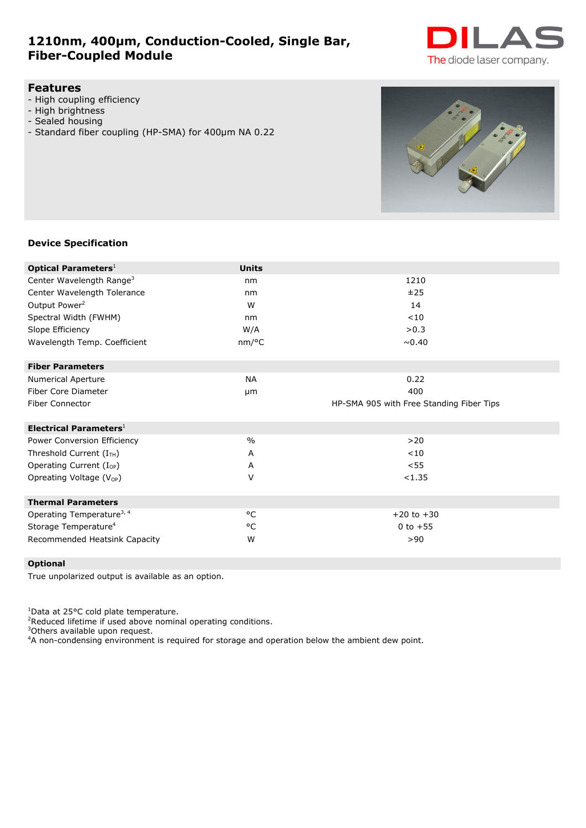# **1210nm, 400µm, Conduction-Cooled, Single Bar, Fiber-Coupled Module**



## **Features**

- High coupling efficiency
- High brightness
- Sealed housing
- Standard fiber coupling (HP-SMA) for 400µm NA 0.22

# **Device Specification**

| <b>Optical Parameters</b> <sup>1</sup> | <b>Units</b>  |                                          |
|----------------------------------------|---------------|------------------------------------------|
| Center Wavelength Range <sup>3</sup>   | nm            | 1210                                     |
| Center Wavelength Tolerance            | nm            | ±25                                      |
| Output Power <sup>2</sup>              | W             | 14                                       |
| Spectral Width (FWHM)                  | nm            | < 10                                     |
| Slope Efficiency                       | W/A           | >0.3                                     |
| Wavelength Temp. Coefficient           | nm/°C         | ~0.40                                    |
| <b>Fiber Parameters</b>                |               |                                          |
| <b>Numerical Aperture</b>              | <b>NA</b>     | 0.22                                     |
| Fiber Core Diameter                    | µm            | 400                                      |
| <b>Fiber Connector</b>                 |               | HP-SMA 905 with Free Standing Fiber Tips |
| Electrical Parameters $1$              |               |                                          |
| Power Conversion Efficiency            | $\frac{0}{0}$ | >20                                      |
| Threshold Current $(I_{TH})$           | A             | < 10                                     |
| Operating Current $(I_{OP})$           | A             | < 55                                     |
| Opreating Voltage (V <sub>OP</sub> )   | V             | < 1.35                                   |
| <b>Thermal Parameters</b>              |               |                                          |
| Operating Temperature <sup>3, 4</sup>  | °C            | $+20$ to $+30$                           |
| Storage Temperature <sup>4</sup>       | °C            | 0 to $+55$                               |
| Recommended Heatsink Capacity          | W             | >90                                      |

## **Optional**

True unpolarized output is available as an option.

<sup>1</sup>Data at 25°C cold plate temperature.

<sup>2</sup>Reduced lifetime if used above nominal operating conditions.

<sup>3</sup>Others available upon request.

<sup>4</sup>A non-condensing environment is required for storage and operation below the ambient dew point.